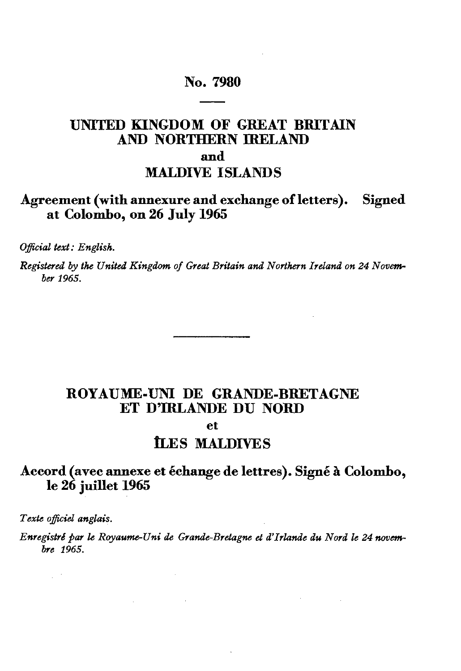## **No. 7980**

# **UNITED KINGDOM OF GREAT BRITAIN AND NORTHERN IRELAND and**

# **MAUDIVE ISLANDS**

## **Agreement (with annexure and exchange of letters). Signed at Colombo, on 26 July 1965**

*Official text: English.*

*Registered by the United Kingdom of Great Britain and Northern Ireland on 24 Novem ber 1965.*

## **ROYAUME-UNI DE GRANDE-BRETAGNE ET DTRLANDE DU NORD**

**et** 

# **ILES MALDIVES**

## **Accord (avec annexe et échange de lettres). Signé à Colombo, le 26 juillet 1965**

*Texte officiel anglais.*

 $\omega$  ,  $\omega$  ,  $\omega$ 

*Enregistré par le Royaume-Uni de Grande-Bretagne et d'Irlande du Nord le 24 novembre 1965.*

**Contract Contract Contract** 

 $\sim 10^{-11}$ 

 $\sim 10^{-10}$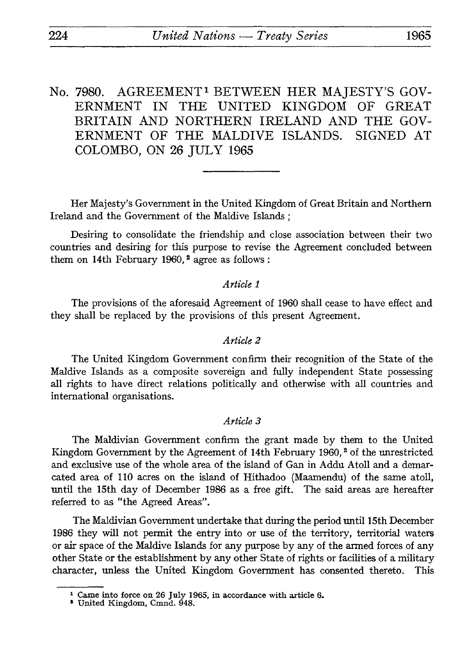No. 7980. AGREEMENT<sup>1</sup> BETWEEN HER MAJESTY'S GOV-<br>ERNMENT IN THE UNITED KINGDOM OF GREAT THE UNITED KINGDOM BRITAIN AND NORTHERN IRELAND AND THE GOV ERNMENT OF THE MALDIVE ISLANDS. SIGNED AT COLOMBO, ON 26 JULY 1965

Her Majesty's Government in the United Kingdom of Great Britain and Northern Ireland and the Government of the Maldive Islands ;

Desiring to consolidate the friendship and close association between their two countries and desiring for this purpose to revise the Agreement concluded between them on 14th February 1960,<sup>2</sup> agree as follows:

### *Article 1*

The provisions of the aforesaid Agreement of 1960 shall cease to have effect and they shall be replaced by the provisions of this present Agreement.

### *Article 2*

The United Kingdom Government confirm their recognition of the State of the Maldive Islands as a composite sovereign and fully independent State possessing all rights to have direct relations politically and otherwise with all countries and international organisations.

## *Article 3*

The Maldivian Government confirm the grant made by them to the United Kingdom Government by the Agreement of 14th February 1960, 2 of the unrestricted and exclusive use of the whole area of the island of Gan in Addu Atoll and a demar cated area of 110 acres on the island of Hithadoo (Maamendu) of the same atoll, until the 15th day of December 1986 as a free gift. The said areas are hereafter referred to as "the Agreed Areas".

The Maldivian Government undertake that during the period until 15th December 1986 they will not permit the entry into or use of the territory, territorial waters or air space of the Maldive Islands for any purpose by any of the armed forces of any other State or the establishment by any other State of rights or facilities of a military character, unless the United Kingdom Government has consented thereto. This

<sup>1</sup> Came into force on 26 July 1965, in accordance with article 6. 1 United Kingdom, Cmnd. 948.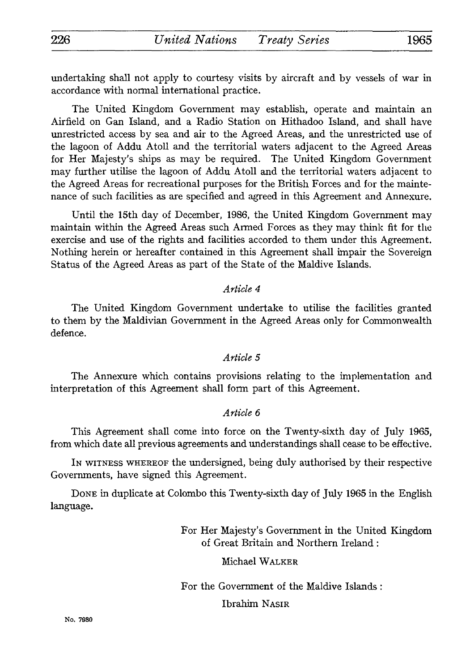undertaking shall not apply to courtesy visits by aircraft and by vessels of war in accordance with normal international practice.

The United Kingdom Government may establish, operate and maintain an Airfield on Gan Island, and a Radio Station on Hithadoo Island, and shall have unrestricted access by sea and air to the Agreed Areas, and the unrestricted use of the lagoon of Addu Atoll and the territorial waters adjacent to the Agreed Areas for Her Majesty's ships as may be required. The United Kingdom Government may further utilise the lagoon of Addu Atoll and the territorial waters adjacent to the Agreed Areas for recreational purposes for the British Forces and for the mainte nance of such facilities as are specified and agreed in this Agreement and Annexure.

Until the 15th day of December, 1986, the United Kingdom Government may maintain within the Agreed Areas such Armed Forces as they may think fit for the exercise and use of the rights and facilities accorded to them under this Agreement. Nothing herein or hereafter contained in this Agreement shall impair the Sovereign Status of the Agreed Areas as part of the State of the Maldive Islands.

## *Article 4*

The United Kingdom Government undertake to utilise the facilities granted to them by the Maldivian Government in the Agreed Areas only for Commonwealth defence.

## *Article 5*

The Annexure which contains provisions relating to the implementation and interpretation of this Agreement shall form part of this Agreement.

## *Article 6*

This Agreement shall come into force on the Twenty-sixth day of July 1965, from which date all previous agreements and understandings shall cease to be effective.

IN WITNESS WHEREOF the undersigned, being duly authorised by their respective Governments, have signed this Agreement.

DONE in duplicate at Colombo this Twenty-sixth day of July 1965 in the English language.

> For Her Majesty's Government in the United Kingdom of Great Britain and Northern Ireland :

## Michael WALKER

For the Government of the Maldive Islands :

## Ibrahim NASIR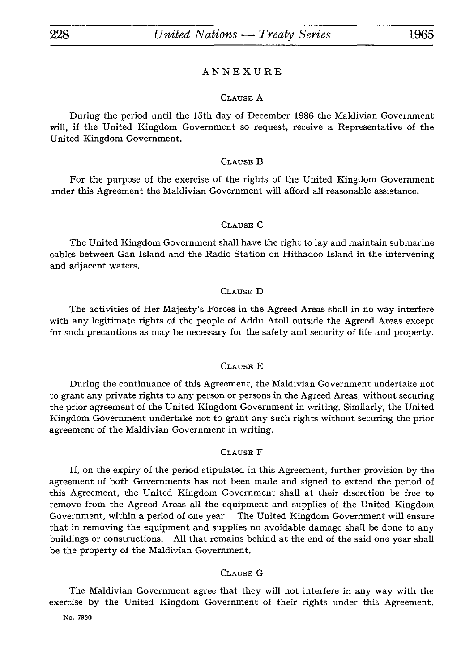#### ANNEXURE

#### CLAUSE A

During the period until the 15th day of December 1986 the Maldivian Government will, if the United Kingdom Government so request, receive a Representative of the United Kingdom Government.

#### CLAUSE B

For the purpose of the exercise of the rights of the United Kingdom Government under this Agreement the Maldivian Government will afford all reasonable assistance.

#### CLAUSE C

The United Kingdom Government shall have the right to lay and maintain submarine cables between Gan Island and the Radio Station on Hithadoo Island in the intervening and adjacent waters.

#### CLAUSE D

The activities of Her Majesty's Forces in the Agreed Areas shall in no way interfere with any legitimate rights of the people of Addu Atoll outside the Agreed Areas except for such precautions as may be necessary for the safety and security of life and property.

#### CLAUSE E

During the continuance of this Agreement, the Maldivian Government undertake not to grant any private rights to any person or persons in the Agreed Areas, without securing the prior agreement of the United Kingdom Government in writing. Similarly, the United Kingdom Government undertake not to grant any such rights without securing the prior agreement of the Maldivian Government in writing.

#### CLAUSE F

If, on the expiry of the period stipulated in this Agreement, further provision by the agreement of both Governments has not been made and signed to extend the period of this Agreement, the United Kingdom Government shall at their discretion be free to remove from the Agreed Areas all the equipment and supplies of the United Kingdom Government, within a period of one year. The United Kingdom Government will ensure that in removing the equipment and supplies no avoidable damage shall be done to any buildings or constructions. All that remains behind at the end of the said one year shall be the property of the Maldivian Government.

#### CLAUSE G

The Maldivian Government agree that they will not interfere in any way with the exercise by the United Kingdom Government of their rights under this Agreement.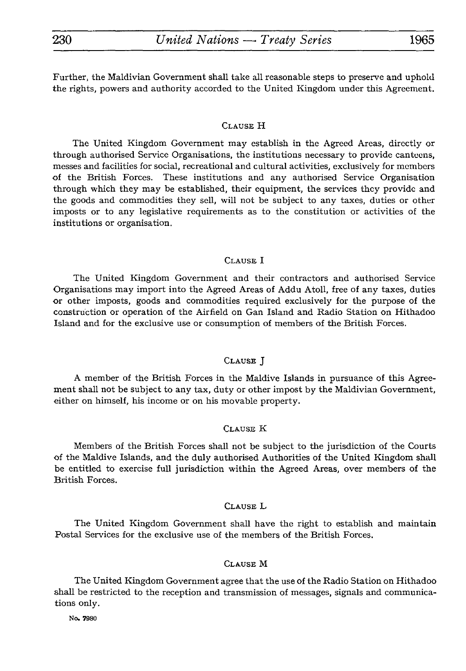Further, the Maldivian Government shall take all reasonable steps to preserve and uphold the rights, powers and authority accorded to the United Kingdom under this Agreement.

#### CLAUSE H

The United Kingdom Government may establish in the Agreed Areas, directly or through authorised Service Organisations, the institutions necessary to provide canteens, messes and facilities for social, recreational and cultural activities, exclusively for members of the British Forces. These institutions and any authorised Service Organisation through which they may be established, their equipment, the services they provide and the goods and commodities they sell, will not be subject to any taxes, duties or other imposts or to any legislative requirements as to the constitution or activities of the institutions or organisation.

#### CLAUSE I

The United Kingdom Government and their contractors and authorised Service Organisations may import into the Agreed Areas of Addu Atoll, free of any taxes, duties or other imposts, goods and commodities required exclusively for the purpose of the construction or operation of the Airfield on Gan Island and Radio Station on Hithadoo Island and for the exclusive use or consumption of members of the British Forces.

#### CLAUSE J

A member of the British Forces in the Maldive Islands in pursuance of this Agree ment shall not be subject to any tax, duty or other impost by the Maldivian Government, either on himself, his income or on his movable property.

#### CLAUSE K

Members of the British Forces shall not be subject to the jurisdiction of the Courts of the Maldive Islands, and the duly authorised Authorities of the United Kingdom shall be entitled to exercise full jurisdiction within the Agreed Areas, over members of the British Forces.

#### CLAUSE L

The United Kingdom Government shall have the right to establish and maintain Postal Services for the exclusive use of the members of the British Forces.

#### CLAUSE M

The United Kingdom Government agree that the use of the Radio Station on Hithadoo shall be restricted to the reception and transmission of messages, signals and communica tions only.

No. 7980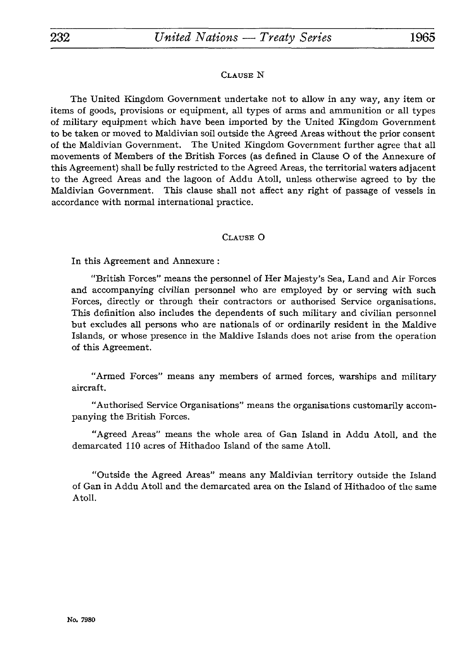### CLAUSE N

The United Kingdom Government undertake not to allow in any way, any item or items of goods, provisions or equipment, all types of arms and ammunition or all types of military equipment which have been imported by the United Kingdom Government to be taken or moved to Maldivian soil outside the Agreed Areas without the prior consent of the Maldivian Government. The United Kingdom Government further agree that all movements of Members of the British Forces (as defined in Clause O of the Annexure of this Agreement) shall be fully restricted to the Agreed Areas, the territorial waters adjacent to the Agreed Areas and the lagoon of Addu Atoll, unless otherwise agreed to by the Maldivian Government. This clause shall not affect any right of passage of vessels in accordance with normal international practice.

### CLAUSE O

In this Agreement and Annexure :

"British Forces" means the personnel of Her Majesty's Sea, Land and Air Forces and accompanying civilian personnel who are employed by or serving with such Forces, directly or through their contractors or authorised Service organisations. This definition also includes the dependents of such military and civilian personnel but excludes all persons who are nationals of or ordinarily resident in the Maldive Islands, or whose presence in the Maldive Islands does not arise from the operation of this Agreement.

"Armed Forces" means any members of armed forces, warships and military aircraft.

"Authorised Service Organisations" means the organisations customarily accom panying the British Forces.

"Agreed Areas" means the whole area of Gan Island in Addu Atoll, and the demarcated 110 acres of Hithadoo Island of the same Atoll.

"Outside the Agreed Areas" means any Maldivian territory outside the Island of Gan in Addu Atoll and the demarcated area on the Island of Hithadoo of the same Atoll.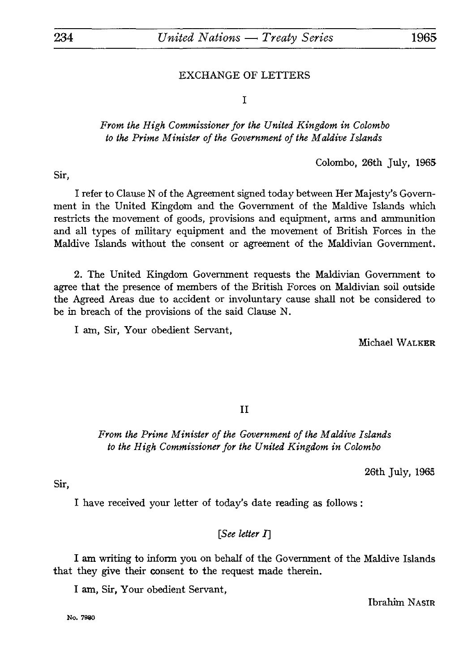## EXCHANGE OF LETTERS

I

## *From the High Commissioner for the United Kingdom in Colombo to the Prime Minister of the Government of the Maldive Islands*

Colombo, 26th July, 1965

Sir,

I refer to Clause N of the Agreement signed today between Her Majesty's Govern ment in the United Kingdom and the Government of the Maldive Islands which restricts the movement of goods, provisions and equipment, arms and ammunition and all types of military equipment and the movement of British Forces in the Maldive Islands without the consent or agreement of the Maldivian Government.

2. The United Kingdom Government requests the Maldivian Government to agree that the presence of members of the British Forces on Maldivian soil outside the Agreed Areas due to accident or involuntary cause shall not be considered to be in breach of the provisions of the said Clause N.

I am, Sir, Your obedient Servant,

Michael WALKER

II

*From the Prime Minister of the Government of the Maldive Islands to the High Commissioner for the United Kingdom in Colombo*

26th July, 1965

Sir,

I have received your letter of today's date reading as follows :

## *[See letter* 7]

I am writing to inform you on behalf of the Government of the Maldive Islands that they give their consent to the request made therein.

I am, Sir, Your obedient Servant,

Ibrahim NASIR

**No. 7980**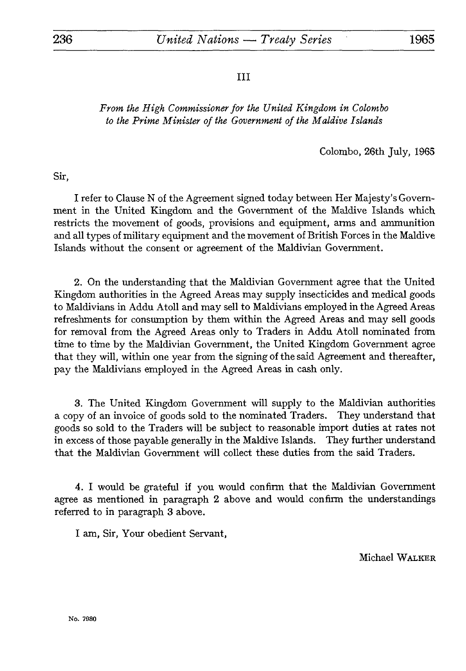III

## *From the High Commissioner for the United Kingdom in Colombo to the Prime Minister of the Government of the Maldive Islands*

Colombo, 26th July, 1965

Sir,

I refer to Clause N of the Agreement signed today between Her Majesty's Govern ment in the United Kingdom and the Government of the Maldive Islands which restricts the movement of goods, provisions and equipment, arms and ammunition and all types of military equipment and the movement of British Forces in the Maldive Islands without the consent or agreement of the Maldivian Government.

2. On the understanding that the Maldivian Government agree that the United Kingdom authorities in the Agreed Areas may supply insecticides and medical goods to Maldivians in Addu Atoll and may sell to Maldivians employed in the Agreed Areas refreshments for consumption by them within the Agreed Areas and may sell goods for removal from the Agreed Areas only to Traders in Addu Atoll nominated from time to time by the Maldivian Government, the United Kingdom Government agree that they will, within one year from the signing of the said Agreement and thereafter, pay the Maldivians employed in the Agreed Areas in cash only.

3. The United Kingdom Government will supply to the Maldivian authorities a copy of an invoice of goods sold to the nominated Traders. They understand that goods so sold to the Traders will be subject to reasonable import duties at rates not in excess of those payable generally in the Maldive Islands. They further understand that the Maldivian Government will collect these duties from the said Traders.

4. I would be grateful if you would confirm that the Maldivian Government agree as mentioned in paragraph 2 above and would confirm the understandings referred to in paragraph 3 above.

I am, Sir, Your obedient Servant,

Michael WALKER